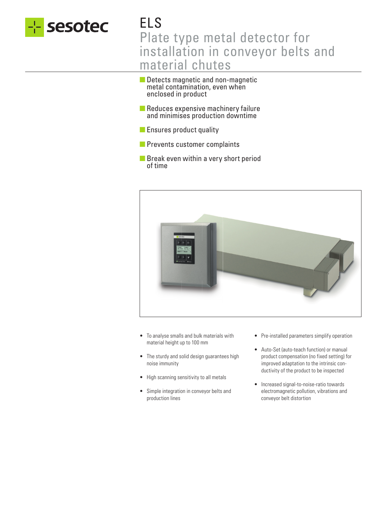

# ELS Plate type metal detector for installation in conveyor belts and material chutes

- Detects magnetic and non-magnetic metal contamination, even when enclosed in product
- Reduces expensive machinery failure and minimises production downtime
- Ensures product quality
- Prevents customer complaints
- Break even within a very short period of time



- To analyse smalls and bulk materials with material height up to 100 mm
- The sturdy and solid design guarantees high noise immunity
- High scanning sensitivity to all metals
- Simple integration in conveyor belts and production lines
- Pre-installed parameters simplify operation
- Auto-Set (auto-teach function) or manual product compensation (no fixed setting) for improved adaptation to the intrinsic conductivity of the product to be inspected
- Increased signal-to-noise-ratio towards electromagnetic pollution, vibrations and conveyor belt distortion